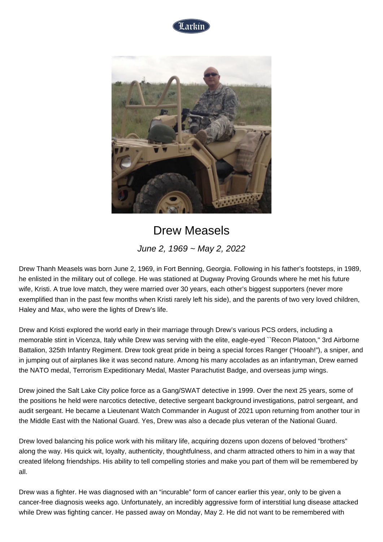



## Drew Measels

June 2, 1969 ~ May 2, 2022

Drew Thanh Measels was born June 2, 1969, in Fort Benning, Georgia. Following in his father's footsteps, in 1989, he enlisted in the military out of college. He was stationed at Dugway Proving Grounds where he met his future wife, Kristi. A true love match, they were married over 30 years, each other's biggest supporters (never more exemplified than in the past few months when Kristi rarely left his side), and the parents of two very loved children, Haley and Max, who were the lights of Drew's life.

Drew and Kristi explored the world early in their marriage through Drew's various PCS orders, including a memorable stint in Vicenza, Italy while Drew was serving with the elite, eagle-eyed ``Recon Platoon,'' 3rd Airborne Battalion, 325th Infantry Regiment. Drew took great pride in being a special forces Ranger ("Hooah!"), a sniper, and in jumping out of airplanes like it was second nature. Among his many accolades as an infantryman, Drew earned the NATO medal, Terrorism Expeditionary Medal, Master Parachutist Badge, and overseas jump wings.

Drew joined the Salt Lake City police force as a Gang/SWAT detective in 1999. Over the next 25 years, some of the positions he held were narcotics detective, detective sergeant background investigations, patrol sergeant, and audit sergeant. He became a Lieutenant Watch Commander in August of 2021 upon returning from another tour in the Middle East with the National Guard. Yes, Drew was also a decade plus veteran of the National Guard.

Drew loved balancing his police work with his military life, acquiring dozens upon dozens of beloved "brothers" along the way. His quick wit, loyalty, authenticity, thoughtfulness, and charm attracted others to him in a way that created lifelong friendships. His ability to tell compelling stories and make you part of them will be remembered by all.

Drew was a fighter. He was diagnosed with an "incurable" form of cancer earlier this year, only to be given a cancer-free diagnosis weeks ago. Unfortunately, an incredibly aggressive form of interstitial lung disease attacked while Drew was fighting cancer. He passed away on Monday, May 2. He did not want to be remembered with